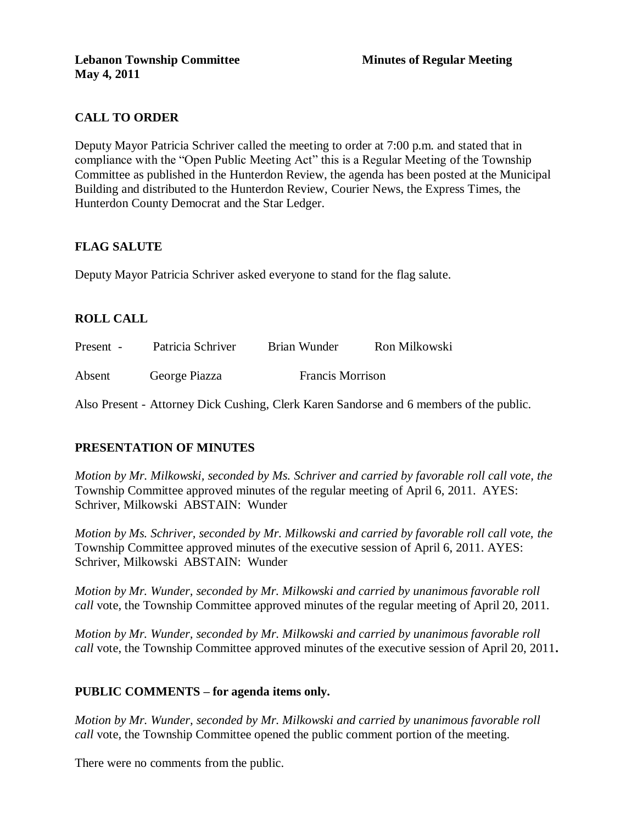# **CALL TO ORDER**

Deputy Mayor Patricia Schriver called the meeting to order at 7:00 p.m. and stated that in compliance with the "Open Public Meeting Act" this is a Regular Meeting of the Township Committee as published in the Hunterdon Review, the agenda has been posted at the Municipal Building and distributed to the Hunterdon Review, Courier News, the Express Times, the Hunterdon County Democrat and the Star Ledger.

## **FLAG SALUTE**

Deputy Mayor Patricia Schriver asked everyone to stand for the flag salute.

# **ROLL CALL**

Present - Patricia Schriver Brian Wunder Ron Milkowski Absent George Piazza Francis Morrison

Also Present - Attorney Dick Cushing, Clerk Karen Sandorse and 6 members of the public.

## **PRESENTATION OF MINUTES**

*Motion by Mr. Milkowski, seconded by Ms. Schriver and carried by favorable roll call vote, the* Township Committee approved minutes of the regular meeting of April 6, 2011. AYES: Schriver, Milkowski ABSTAIN: Wunder

*Motion by Ms. Schriver, seconded by Mr. Milkowski and carried by favorable roll call vote, the* Township Committee approved minutes of the executive session of April 6, 2011. AYES: Schriver, Milkowski ABSTAIN: Wunder

*Motion by Mr. Wunder, seconded by Mr. Milkowski and carried by unanimous favorable roll call* vote, the Township Committee approved minutes of the regular meeting of April 20, 2011.

*Motion by Mr. Wunder, seconded by Mr. Milkowski and carried by unanimous favorable roll call* vote, the Township Committee approved minutes of the executive session of April 20, 2011**.**

## **PUBLIC COMMENTS – for agenda items only.**

*Motion by Mr. Wunder, seconded by Mr. Milkowski and carried by unanimous favorable roll call* vote, the Township Committee opened the public comment portion of the meeting.

There were no comments from the public.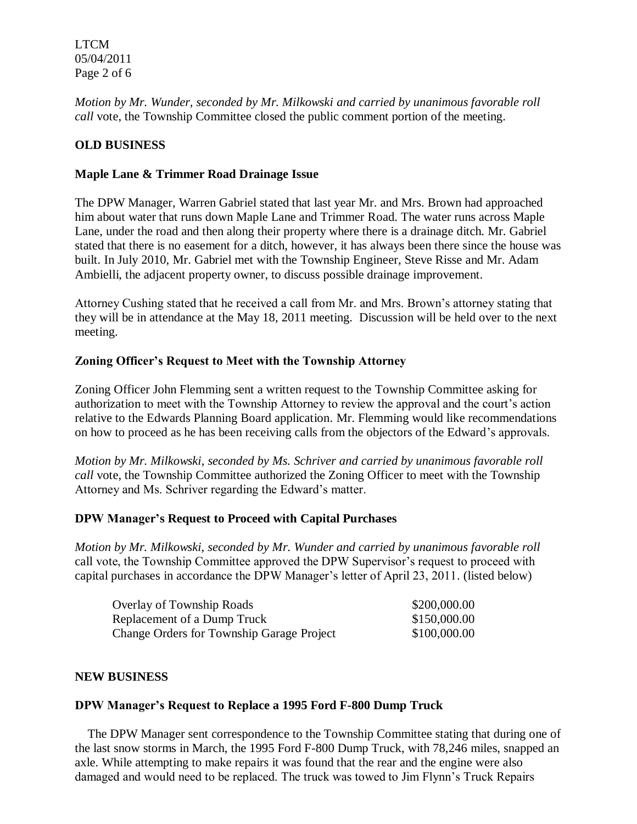LTCM 05/04/2011 Page 2 of 6

*Motion by Mr. Wunder, seconded by Mr. Milkowski and carried by unanimous favorable roll call* vote, the Township Committee closed the public comment portion of the meeting.

### **OLD BUSINESS**

### **Maple Lane & Trimmer Road Drainage Issue**

The DPW Manager, Warren Gabriel stated that last year Mr. and Mrs. Brown had approached him about water that runs down Maple Lane and Trimmer Road. The water runs across Maple Lane, under the road and then along their property where there is a drainage ditch. Mr. Gabriel stated that there is no easement for a ditch, however, it has always been there since the house was built. In July 2010, Mr. Gabriel met with the Township Engineer, Steve Risse and Mr. Adam Ambielli, the adjacent property owner, to discuss possible drainage improvement.

Attorney Cushing stated that he received a call from Mr. and Mrs. Brown's attorney stating that they will be in attendance at the May 18, 2011 meeting. Discussion will be held over to the next meeting.

### **Zoning Officer's Request to Meet with the Township Attorney**

Zoning Officer John Flemming sent a written request to the Township Committee asking for authorization to meet with the Township Attorney to review the approval and the court's action relative to the Edwards Planning Board application. Mr. Flemming would like recommendations on how to proceed as he has been receiving calls from the objectors of the Edward's approvals.

*Motion by Mr. Milkowski, seconded by Ms. Schriver and carried by unanimous favorable roll call* vote, the Township Committee authorized the Zoning Officer to meet with the Township Attorney and Ms. Schriver regarding the Edward's matter.

#### **DPW Manager's Request to Proceed with Capital Purchases**

*Motion by Mr. Milkowski, seconded by Mr. Wunder and carried by unanimous favorable roll* call vote, the Township Committee approved the DPW Supervisor's request to proceed with capital purchases in accordance the DPW Manager's letter of April 23, 2011. (listed below)

| <b>Overlay of Township Roads</b>                 | \$200,000.00 |
|--------------------------------------------------|--------------|
| Replacement of a Dump Truck                      | \$150,000.00 |
| <b>Change Orders for Township Garage Project</b> | \$100,000.00 |

#### **NEW BUSINESS**

#### **DPW Manager's Request to Replace a 1995 Ford F-800 Dump Truck**

 The DPW Manager sent correspondence to the Township Committee stating that during one of the last snow storms in March, the 1995 Ford F-800 Dump Truck, with 78,246 miles, snapped an axle. While attempting to make repairs it was found that the rear and the engine were also damaged and would need to be replaced. The truck was towed to Jim Flynn's Truck Repairs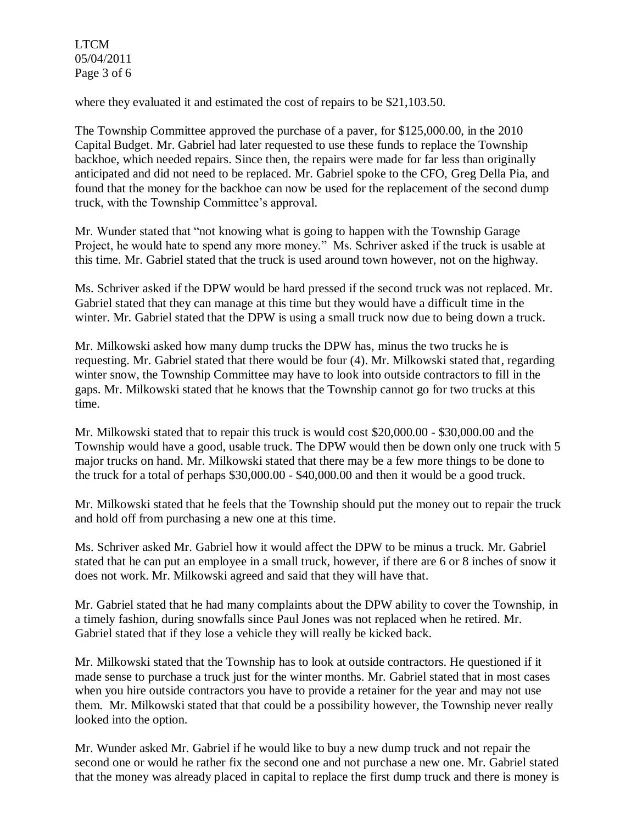LTCM 05/04/2011 Page 3 of 6

where they evaluated it and estimated the cost of repairs to be \$21,103.50.

The Township Committee approved the purchase of a paver, for \$125,000.00, in the 2010 Capital Budget. Mr. Gabriel had later requested to use these funds to replace the Township backhoe, which needed repairs. Since then, the repairs were made for far less than originally anticipated and did not need to be replaced. Mr. Gabriel spoke to the CFO, Greg Della Pia, and found that the money for the backhoe can now be used for the replacement of the second dump truck, with the Township Committee's approval.

Mr. Wunder stated that "not knowing what is going to happen with the Township Garage Project, he would hate to spend any more money." Ms. Schriver asked if the truck is usable at this time. Mr. Gabriel stated that the truck is used around town however, not on the highway.

Ms. Schriver asked if the DPW would be hard pressed if the second truck was not replaced. Mr. Gabriel stated that they can manage at this time but they would have a difficult time in the winter. Mr. Gabriel stated that the DPW is using a small truck now due to being down a truck.

Mr. Milkowski asked how many dump trucks the DPW has, minus the two trucks he is requesting. Mr. Gabriel stated that there would be four (4). Mr. Milkowski stated that, regarding winter snow, the Township Committee may have to look into outside contractors to fill in the gaps. Mr. Milkowski stated that he knows that the Township cannot go for two trucks at this time.

Mr. Milkowski stated that to repair this truck is would cost \$20,000.00 - \$30,000.00 and the Township would have a good, usable truck. The DPW would then be down only one truck with 5 major trucks on hand. Mr. Milkowski stated that there may be a few more things to be done to the truck for a total of perhaps \$30,000.00 - \$40,000.00 and then it would be a good truck.

Mr. Milkowski stated that he feels that the Township should put the money out to repair the truck and hold off from purchasing a new one at this time.

Ms. Schriver asked Mr. Gabriel how it would affect the DPW to be minus a truck. Mr. Gabriel stated that he can put an employee in a small truck, however, if there are 6 or 8 inches of snow it does not work. Mr. Milkowski agreed and said that they will have that.

Mr. Gabriel stated that he had many complaints about the DPW ability to cover the Township, in a timely fashion, during snowfalls since Paul Jones was not replaced when he retired. Mr. Gabriel stated that if they lose a vehicle they will really be kicked back.

Mr. Milkowski stated that the Township has to look at outside contractors. He questioned if it made sense to purchase a truck just for the winter months. Mr. Gabriel stated that in most cases when you hire outside contractors you have to provide a retainer for the year and may not use them. Mr. Milkowski stated that that could be a possibility however, the Township never really looked into the option.

Mr. Wunder asked Mr. Gabriel if he would like to buy a new dump truck and not repair the second one or would he rather fix the second one and not purchase a new one. Mr. Gabriel stated that the money was already placed in capital to replace the first dump truck and there is money is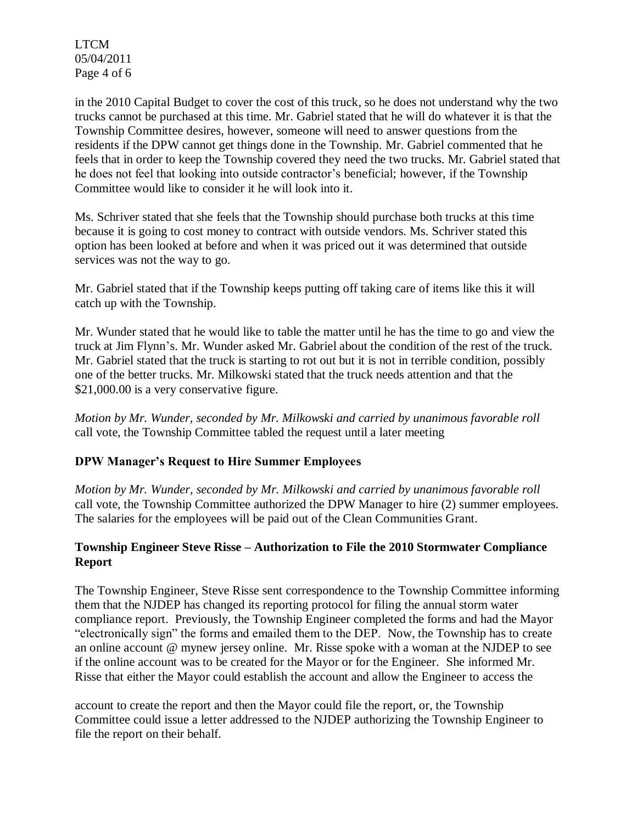LTCM 05/04/2011 Page 4 of 6

in the 2010 Capital Budget to cover the cost of this truck, so he does not understand why the two trucks cannot be purchased at this time. Mr. Gabriel stated that he will do whatever it is that the Township Committee desires, however, someone will need to answer questions from the residents if the DPW cannot get things done in the Township. Mr. Gabriel commented that he feels that in order to keep the Township covered they need the two trucks. Mr. Gabriel stated that he does not feel that looking into outside contractor's beneficial; however, if the Township Committee would like to consider it he will look into it.

Ms. Schriver stated that she feels that the Township should purchase both trucks at this time because it is going to cost money to contract with outside vendors. Ms. Schriver stated this option has been looked at before and when it was priced out it was determined that outside services was not the way to go.

Mr. Gabriel stated that if the Township keeps putting off taking care of items like this it will catch up with the Township.

Mr. Wunder stated that he would like to table the matter until he has the time to go and view the truck at Jim Flynn's. Mr. Wunder asked Mr. Gabriel about the condition of the rest of the truck. Mr. Gabriel stated that the truck is starting to rot out but it is not in terrible condition, possibly one of the better trucks. Mr. Milkowski stated that the truck needs attention and that the \$21,000.00 is a very conservative figure.

*Motion by Mr. Wunder, seconded by Mr. Milkowski and carried by unanimous favorable roll* call vote, the Township Committee tabled the request until a later meeting

## **DPW Manager's Request to Hire Summer Employees**

*Motion by Mr. Wunder, seconded by Mr. Milkowski and carried by unanimous favorable roll* call vote, the Township Committee authorized the DPW Manager to hire (2) summer employees. The salaries for the employees will be paid out of the Clean Communities Grant.

### **Township Engineer Steve Risse – Authorization to File the 2010 Stormwater Compliance Report**

The Township Engineer, Steve Risse sent correspondence to the Township Committee informing them that the NJDEP has changed its reporting protocol for filing the annual storm water compliance report. Previously, the Township Engineer completed the forms and had the Mayor "electronically sign" the forms and emailed them to the DEP. Now, the Township has to create an online account @ mynew jersey online. Mr. Risse spoke with a woman at the NJDEP to see if the online account was to be created for the Mayor or for the Engineer. She informed Mr. Risse that either the Mayor could establish the account and allow the Engineer to access the

account to create the report and then the Mayor could file the report, or, the Township Committee could issue a letter addressed to the NJDEP authorizing the Township Engineer to file the report on their behalf.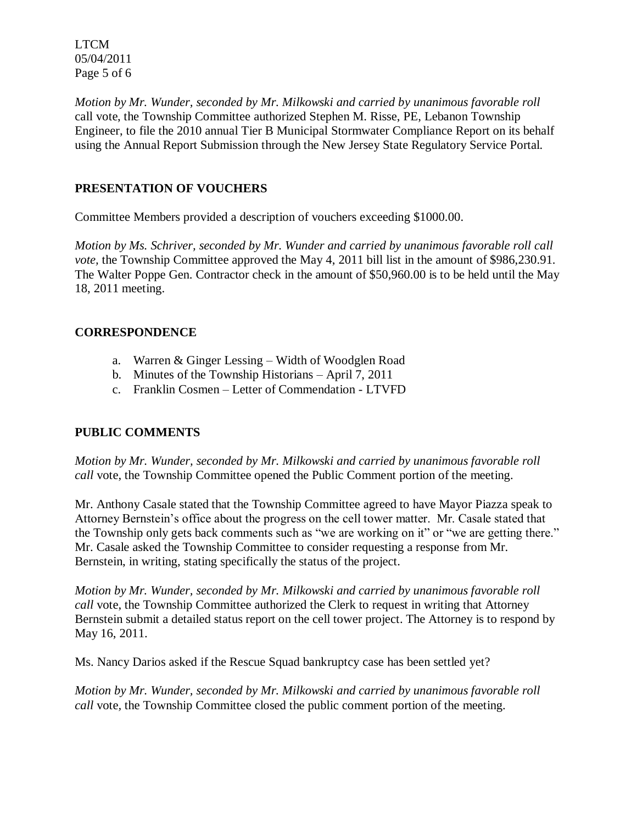LTCM 05/04/2011 Page 5 of 6

*Motion by Mr. Wunder, seconded by Mr. Milkowski and carried by unanimous favorable roll*  call vote, the Township Committee authorized Stephen M. Risse, PE, Lebanon Township Engineer, to file the 2010 annual Tier B Municipal Stormwater Compliance Report on its behalf using the Annual Report Submission through the New Jersey State Regulatory Service Portal.

## **PRESENTATION OF VOUCHERS**

Committee Members provided a description of vouchers exceeding \$1000.00.

*Motion by Ms. Schriver, seconded by Mr. Wunder and carried by unanimous favorable roll call vote,* the Township Committee approved the May 4, 2011 bill list in the amount of \$986,230.91. The Walter Poppe Gen. Contractor check in the amount of \$50,960.00 is to be held until the May 18, 2011 meeting.

## **CORRESPONDENCE**

- a. Warren & Ginger Lessing Width of Woodglen Road
- b. Minutes of the Township Historians April 7, 2011
- c. Franklin Cosmen Letter of Commendation LTVFD

## **PUBLIC COMMENTS**

*Motion by Mr. Wunder, seconded by Mr. Milkowski and carried by unanimous favorable roll call* vote, the Township Committee opened the Public Comment portion of the meeting.

Mr. Anthony Casale stated that the Township Committee agreed to have Mayor Piazza speak to Attorney Bernstein's office about the progress on the cell tower matter. Mr. Casale stated that the Township only gets back comments such as "we are working on it" or "we are getting there." Mr. Casale asked the Township Committee to consider requesting a response from Mr. Bernstein, in writing, stating specifically the status of the project.

*Motion by Mr. Wunder, seconded by Mr. Milkowski and carried by unanimous favorable roll call* vote, the Township Committee authorized the Clerk to request in writing that Attorney Bernstein submit a detailed status report on the cell tower project. The Attorney is to respond by May 16, 2011.

Ms. Nancy Darios asked if the Rescue Squad bankruptcy case has been settled yet?

*Motion by Mr. Wunder, seconded by Mr. Milkowski and carried by unanimous favorable roll call* vote*,* the Township Committee closed the public comment portion of the meeting.